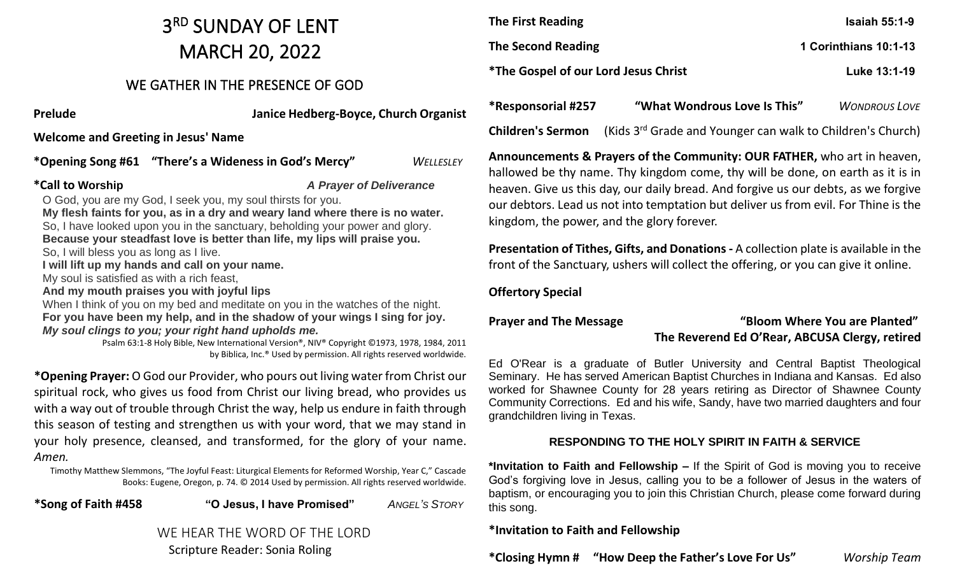## 3 RD SUNDAY OF LENT MARCH 20, 2022

### WE GATHER IN THE PRESENCE OF GOD

**Prelude Janice Hedberg-Boyce, Church Organist** 

**Welcome and Greeting in Jesus' Name** 

**\*Opening Song #61 "There's a Wideness in God's Mercy"** *WELLESLEY*

**\*Call to Worship** *A Prayer of Deliverance*

O God, you are my God, I seek you, my soul thirsts for you. **My flesh faints for you, as in a dry and weary land where there is no water.** So, I have looked upon you in the sanctuary, beholding your power and glory. **Because your steadfast love is better than life, my lips will praise you.** So, I will bless you as long as I live. **I will lift up my hands and call on your name.** My soul is satisfied as with a rich feast, **And my mouth praises you with joyful lips** When I think of you on my bed and meditate on you in the watches of the night. **For you have been my help, and in the shadow of your wings I sing for joy.** *My soul clings to you; your right hand upholds me.*

> Psalm 63:1-8 Holy Bible, New International Version®, NIV® Copyright ©1973, 1978, 1984, 2011 by Biblica, Inc.® Used by permission. All rights reserved worldwide.

**\*Opening Prayer:** O God our Provider, who pours out living water from Christ our spiritual rock, who gives us food from Christ our living bread, who provides us with a way out of trouble through Christ the way, help us endure in faith through this season of testing and strengthen us with your word, that we may stand in your holy presence, cleansed, and transformed, for the glory of your name. *Amen.*

Timothy Matthew Slemmons, "The Joyful Feast: Liturgical Elements for Reformed Worship, Year C," Cascade Books: Eugene, Oregon, p. 74. © 2014 Used by permission. All rights reserved worldwide.



| <b>The First Reading</b>                    | <b>Isaiah 55:1-9</b>  |
|---------------------------------------------|-----------------------|
| The Second Reading                          | 1 Corinthians 10:1-13 |
| <i>*The Gospel of our Lord Jesus Christ</i> | Luke 13:1-19          |

**Children's Sermon** (Kids 3rd Grade and Younger can walk to Children's Church)

**Announcements & Prayers of the Community: OUR FATHER,** who art in heaven, hallowed be thy name. Thy kingdom come, thy will be done, on earth as it is in heaven. Give us this day, our daily bread. And forgive us our debts, as we forgive our debtors. Lead us not into temptation but deliver us from evil. For Thine is the kingdom, the power, and the glory forever.

**Presentation of Tithes, Gifts, and Donations -** A collection plate is available in the front of the Sanctuary, ushers will collect the offering, or you can give it online.

#### **Offertory Special**

#### **Prayer and The Message "Bloom Where You are Planted" The Reverend Ed O'Rear, ABCUSA Clergy, retired**

Ed O'Rear is a graduate of Butler University and Central Baptist Theological Seminary. He has served American Baptist Churches in Indiana and Kansas. Ed also worked for Shawnee County for 28 years retiring as Director of Shawnee County Community Corrections. Ed and his wife, Sandy, have two married daughters and four grandchildren living in Texas.

#### **RESPONDING TO THE HOLY SPIRIT IN FAITH & SERVICE**

**\*Invitation to Faith and Fellowship –** If the Spirit of God is moving you to receive God's forgiving love in Jesus, calling you to be a follower of Jesus in the waters of baptism, or encouraging you to join this Christian Church, please come forward during this song.

#### **\*Invitation to Faith and Fellowship**

**\*Closing Hymn # "How Deep the Father's Love For Us"** *Worship Team*